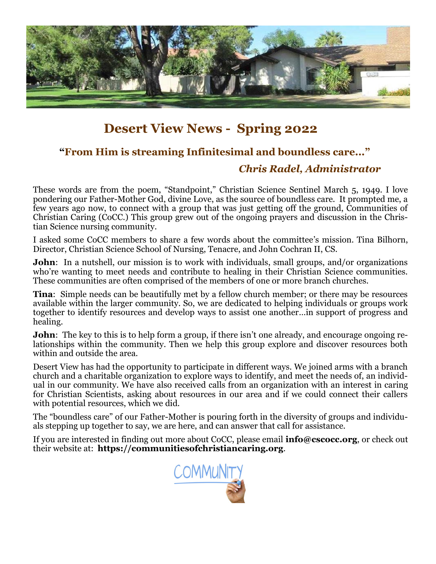

# **Desert View News - Spring 2022**

# **"From Him is streaming Infinitesimal and boundless care..."**

# *Chris Radel, Administrator*

These words are from the poem, "Standpoint," Christian Science Sentinel March 5, 1949. I love pondering our Father-Mother God, divine Love, as the source of boundless care. It prompted me, a few years ago now, to connect with a group that was just getting off the ground, Communities of Christian Caring (CoCC.) This group grew out of the ongoing prayers and discussion in the Christian Science nursing community.

I asked some CoCC members to share a few words about the committee's mission. Tina Bilhorn, Director, Christian Science School of Nursing, Tenacre, and John Cochran II, CS.

**John**: In a nutshell, our mission is to work with individuals, small groups, and/or organizations who're wanting to meet needs and contribute to healing in their Christian Science communities. These communities are often comprised of the members of one or more branch churches.

**Tina**: Simple needs can be beautifully met by a fellow church member; or there may be resources available within the larger community. So, we are dedicated to helping individuals or groups work together to identify resources and develop ways to assist one another…in support of progress and healing.

**John**: The key to this is to help form a group, if there isn't one already, and encourage ongoing relationships within the community. Then we help this group explore and discover resources both within and outside the area.

Desert View has had the opportunity to participate in different ways. We joined arms with a branch church and a charitable organization to explore ways to identify, and meet the needs of, an individual in our community. We have also received calls from an organization with an interest in caring for Christian Scientists, asking about resources in our area and if we could connect their callers with potential resources, which we did.

The "boundless care" of our Father-Mother is pouring forth in the diversity of groups and individuals stepping up together to say, we are here, and can answer that call for assistance.

If you are interested in finding out more about CoCC, please email **info@cscocc.org**, or check out their website at: **https://communitiesofchristiancaring.org**.

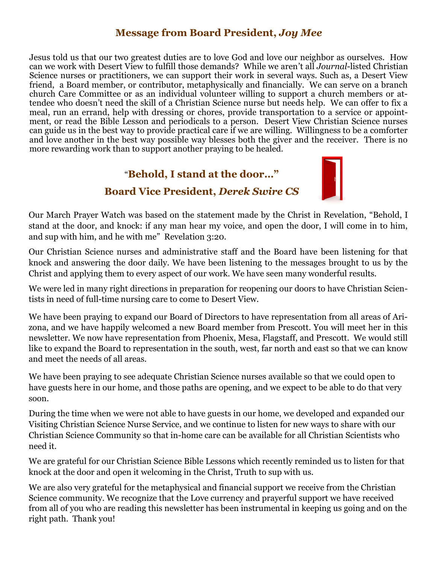### **Message from Board President,** *Joy Mee*

Jesus told us that our two greatest duties are to love God and love our neighbor as ourselves. How can we work with Desert View to fulfill those demands? While we aren't all *Journal*-listed Christian Science nurses or practitioners, we can support their work in several ways. Such as, a Desert View friend, a Board member, or contributor, metaphysically and financially. We can serve on a branch church Care Committee or as an individual volunteer willing to support a church members or attendee who doesn't need the skill of a Christian Science nurse but needs help. We can offer to fix a meal, run an errand, help with dressing or chores, provide transportation to a service or appointment, or read the Bible Lesson and periodicals to a person. Desert View Christian Science nurses can guide us in the best way to provide practical care if we are willing. Willingness to be a comforter and love another in the best way possible way blesses both the giver and the receiver. There is no more rewarding work than to support another praying to be healed.

#### "**Behold, I stand at the door…"**



# **Board Vice President,** *Derek Swire CS*

Our March Prayer Watch was based on the statement made by the Christ in Revelation, "Behold, I stand at the door, and knock: if any man hear my voice, and open the door, I will come in to him, and sup with him, and he with me" Revelation 3:20.

Our Christian Science nurses and administrative staff and the Board have been listening for that knock and answering the door daily. We have been listening to the messages brought to us by the Christ and applying them to every aspect of our work. We have seen many wonderful results.

We were led in many right directions in preparation for reopening our doors to have Christian Scientists in need of full-time nursing care to come to Desert View.

We have been praying to expand our Board of Directors to have representation from all areas of Arizona, and we have happily welcomed a new Board member from Prescott. You will meet her in this newsletter. We now have representation from Phoenix, Mesa, Flagstaff, and Prescott. We would still like to expand the Board to representation in the south, west, far north and east so that we can know and meet the needs of all areas.

We have been praying to see adequate Christian Science nurses available so that we could open to have guests here in our home, and those paths are opening, and we expect to be able to do that very soon.

During the time when we were not able to have guests in our home, we developed and expanded our Visiting Christian Science Nurse Service, and we continue to listen for new ways to share with our Christian Science Community so that in-home care can be available for all Christian Scientists who need it.

We are grateful for our Christian Science Bible Lessons which recently reminded us to listen for that knock at the door and open it welcoming in the Christ, Truth to sup with us.

We are also very grateful for the metaphysical and financial support we receive from the Christian Science community. We recognize that the Love currency and prayerful support we have received from all of you who are reading this newsletter has been instrumental in keeping us going and on the right path. Thank you!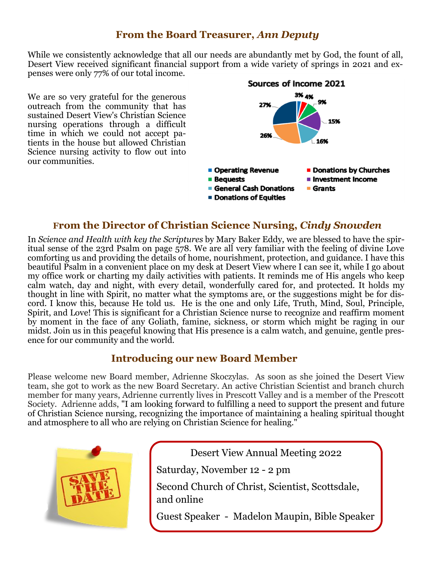#### **From the Board Treasurer,** *Ann Deputy*

While we consistently acknowledge that all our needs are abundantly met by God, the fount of all, Desert View received significant financial support from a wide variety of springs in 2021 and expenses were only 77% of our total income.

We are so very grateful for the generous outreach from the community that has sustained Desert View's Christian Science nursing operations through a difficult time in which we could not accept patients in the house but allowed Christian Science nursing activity to flow out into our communities.



#### **From the Director of Christian Science Nursing,** *Cindy Snowden*

In *Science and Health with key the Scriptures* by Mary Baker Eddy, we are blessed to have the spiritual sense of the 23rd Psalm on page 578. We are all very familiar with the feeling of divine Love comforting us and providing the details of home, nourishment, protection, and guidance. I have this beautiful Psalm in a convenient place on my desk at Desert View where I can see it, while I go about my office work or charting my daily activities with patients. It reminds me of His angels who keep calm watch, day and night, with every detail, wonderfully cared for, and protected. It holds my thought in line with Spirit, no matter what the symptoms are, or the suggestions might be for discord. I know this, because He told us. He is the one and only Life, Truth, Mind, Soul, Principle, Spirit, and Love! This is significant for a Christian Science nurse to recognize and reaffirm moment by moment in the face of any Goliath, famine, sickness, or storm which might be raging in our midst. Join us in this peaceful knowing that His presence is a calm watch, and genuine, gentle presence for our community and the world.

#### **Introducing our new Board Member**

Please welcome new Board member, Adrienne Skoczylas. As soon as she joined the Desert View team, she got to work as the new Board Secretary. An active Christian Scientist and branch church member for many years, Adrienne currently lives in Prescott Valley and is a member of the Prescott Society. Adrienne adds, "I am looking forward to fulfilling a need to support the present and future of Christian Science nursing, recognizing the importance of maintaining a healing spiritual thought and atmosphere to all who are relying on Christian Science for healing."



Desert View Annual Meeting 2022 Saturday, November 12 - 2 pm Second Church of Christ, Scientist, Scottsdale, and online Guest Speaker - Madelon Maupin, Bible Speaker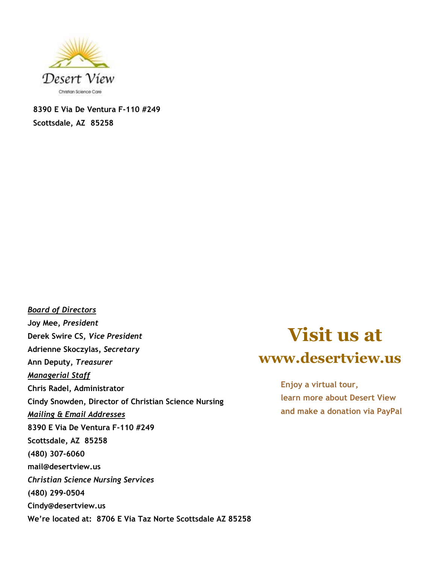

**8390 E Via De Ventura F-110 #249 Scottsdale, AZ 85258**

*Board of Directors* **Joy Mee,** *President* **Derek Swire CS,** *Vice President* **Adrienne Skoczylas***, Secretary* **Ann Deputy,** *Treasurer Managerial Staff* **Chris Radel, Administrator Cindy Snowden, Director of Christian Science Nursing** *Mailing & Email Addresses* **8390 E Via De Ventura F-110 #249 Scottsdale, AZ 85258 (480) 307-6060 mail@desertview.us** *Christian Science Nursing Services* **(480) 299-0504 Cindy@desertview.us We're located at: 8706 E Via Taz Norte Scottsdale AZ 85258**

# **Visit us at www.desertview.us**

**Enjoy a virtual tour, learn more about Desert View and make a donation via PayPal**